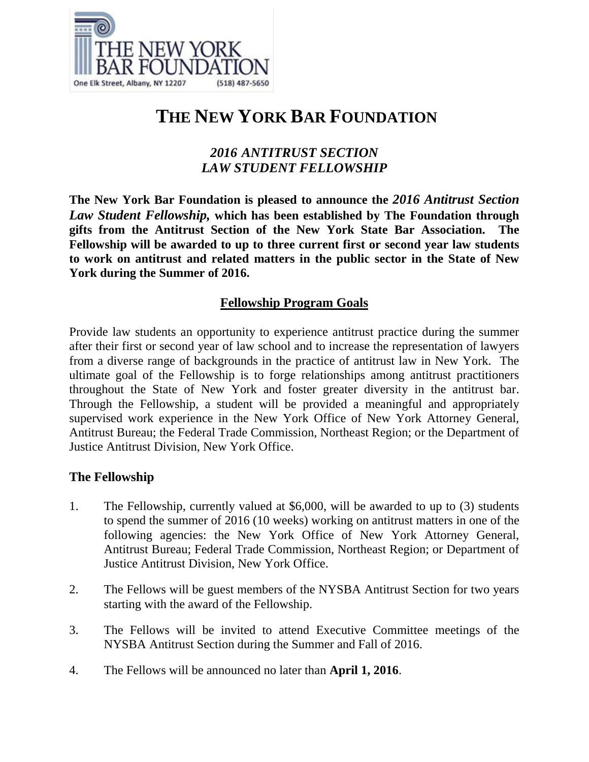

# **THE NEW YORK BAR FOUNDATION**

## *2016 ANTITRUST SECTION LAW STUDENT FELLOWSHIP*

**The New York Bar Foundation is pleased to announce the** *2016 Antitrust Section Law Student Fellowship,* **which has been established by The Foundation through gifts from the Antitrust Section of the New York State Bar Association. The Fellowship will be awarded to up to three current first or second year law students to work on antitrust and related matters in the public sector in the State of New York during the Summer of 2016.**

### **Fellowship Program Goals**

Provide law students an opportunity to experience antitrust practice during the summer after their first or second year of law school and to increase the representation of lawyers from a diverse range of backgrounds in the practice of antitrust law in New York. The ultimate goal of the Fellowship is to forge relationships among antitrust practitioners throughout the State of New York and foster greater diversity in the antitrust bar. Through the Fellowship, a student will be provided a meaningful and appropriately supervised work experience in the New York Office of New York Attorney General, Antitrust Bureau; the Federal Trade Commission, Northeast Region; or the Department of Justice Antitrust Division, New York Office.

#### **The Fellowship**

- 1. The Fellowship, currently valued at \$6,000, will be awarded to up to (3) students to spend the summer of 2016 (10 weeks) working on antitrust matters in one of the following agencies: the New York Office of New York Attorney General, Antitrust Bureau; Federal Trade Commission, Northeast Region; or Department of Justice Antitrust Division, New York Office.
- 2. The Fellows will be guest members of the NYSBA Antitrust Section for two years starting with the award of the Fellowship.
- 3. The Fellows will be invited to attend Executive Committee meetings of the NYSBA Antitrust Section during the Summer and Fall of 2016.
- 4. The Fellows will be announced no later than **April 1, 2016**.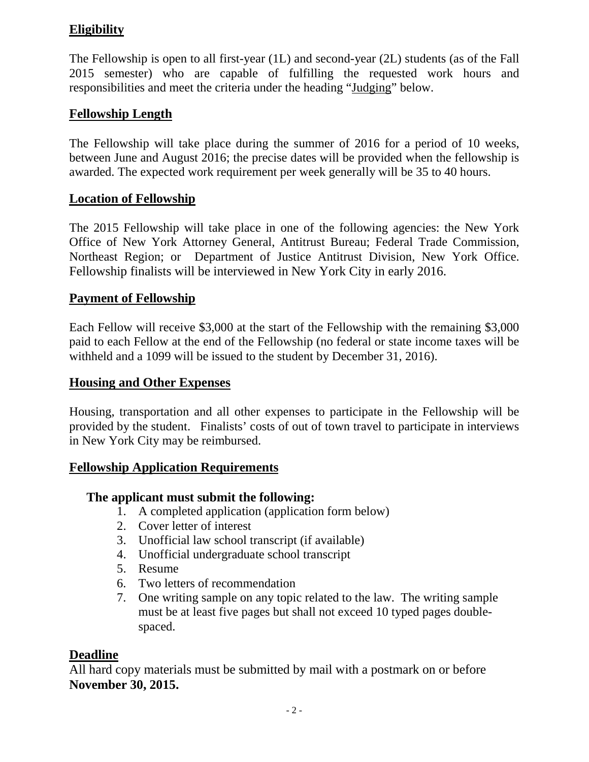## **Eligibility**

The Fellowship is open to all first-year (1L) and second-year (2L) students (as of the Fall 2015 semester) who are capable of fulfilling the requested work hours and responsibilities and meet the criteria under the heading "Judging" below.

## **Fellowship Length**

The Fellowship will take place during the summer of 2016 for a period of 10 weeks, between June and August 2016; the precise dates will be provided when the fellowship is awarded. The expected work requirement per week generally will be 35 to 40 hours.

## **Location of Fellowship**

The 2015 Fellowship will take place in one of the following agencies: the New York Office of New York Attorney General, Antitrust Bureau; Federal Trade Commission, Northeast Region; or Department of Justice Antitrust Division, New York Office. Fellowship finalists will be interviewed in New York City in early 2016.

## **Payment of Fellowship**

Each Fellow will receive \$3,000 at the start of the Fellowship with the remaining \$3,000 paid to each Fellow at the end of the Fellowship (no federal or state income taxes will be withheld and a 1099 will be issued to the student by December 31, 2016).

#### **Housing and Other Expenses**

Housing, transportation and all other expenses to participate in the Fellowship will be provided by the student. Finalists' costs of out of town travel to participate in interviews in New York City may be reimbursed.

#### **Fellowship Application Requirements**

#### **The applicant must submit the following:**

- 1. A completed application (application form below)
- 2. Cover letter of interest
- 3. Unofficial law school transcript (if available)
- 4. Unofficial undergraduate school transcript
- 5. Resume
- 6. Two letters of recommendation
- 7. One writing sample on any topic related to the law. The writing sample must be at least five pages but shall not exceed 10 typed pages doublespaced.

#### **Deadline**

All hard copy materials must be submitted by mail with a postmark on or before **November 30, 2015.**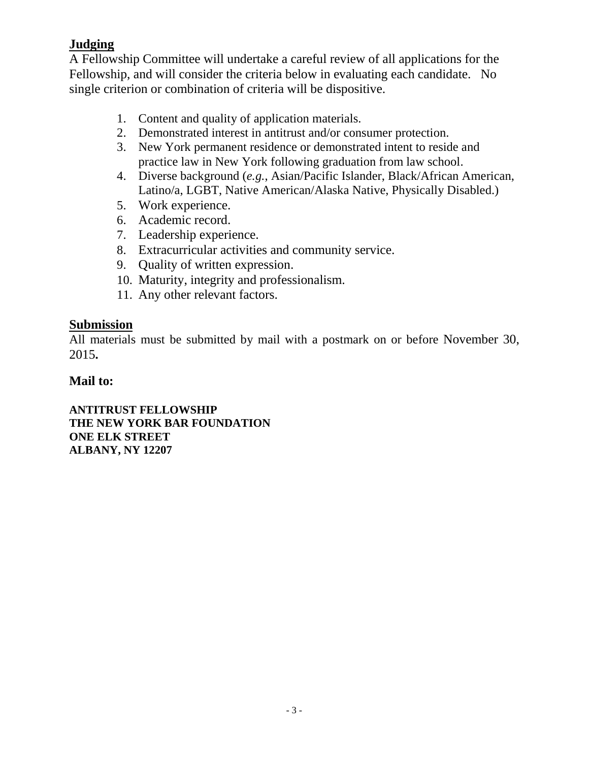## **Judging**

A Fellowship Committee will undertake a careful review of all applications for the Fellowship, and will consider the criteria below in evaluating each candidate. No single criterion or combination of criteria will be dispositive.

- 1. Content and quality of application materials.
- 2. Demonstrated interest in antitrust and/or consumer protection.
- 3. New York permanent residence or demonstrated intent to reside and practice law in New York following graduation from law school.
- 4. Diverse background (*e.g.*, Asian/Pacific Islander, Black/African American, Latino/a, LGBT, Native American/Alaska Native, Physically Disabled.)
- 5. Work experience.
- 6. Academic record.
- 7. Leadership experience.
- 8. Extracurricular activities and community service.
- 9. Quality of written expression.
- 10. Maturity, integrity and professionalism.
- 11. Any other relevant factors.

#### **Submission**

All materials must be submitted by mail with a postmark on or before November 30, 2015**.**

### **Mail to:**

**ANTITRUST FELLOWSHIP THE NEW YORK BAR FOUNDATION ONE ELK STREET ALBANY, NY 12207**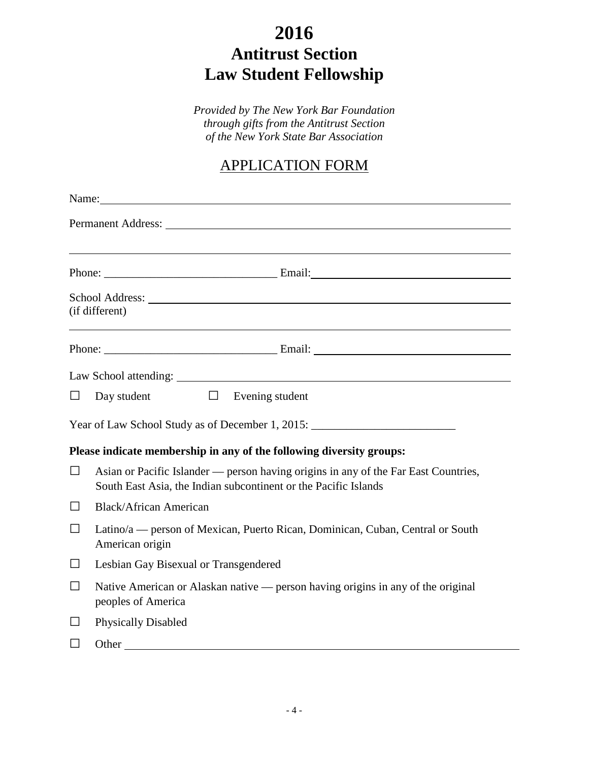# **2016 Antitrust Section Law Student Fellowship**

*Provided by The New York Bar Foundation through gifts from the Antitrust Section of the New York State Bar Association*

## APPLICATION FORM

|         | Name: Name:                                                                                                                                                                                                                   |  |  |
|---------|-------------------------------------------------------------------------------------------------------------------------------------------------------------------------------------------------------------------------------|--|--|
|         | Permanent Address: No. 1996. The Second Second Second Second Second Second Second Second Second Second Second Second Second Second Second Second Second Second Second Second Second Second Second Second Second Second Second |  |  |
|         |                                                                                                                                                                                                                               |  |  |
|         |                                                                                                                                                                                                                               |  |  |
|         | (if different)                                                                                                                                                                                                                |  |  |
|         |                                                                                                                                                                                                                               |  |  |
|         |                                                                                                                                                                                                                               |  |  |
| $\Box$  | Day student $\Box$<br>Evening student                                                                                                                                                                                         |  |  |
|         | Year of Law School Study as of December 1, 2015: ________________________________                                                                                                                                             |  |  |
|         | Please indicate membership in any of the following diversity groups:                                                                                                                                                          |  |  |
| $\Box$  | Asian or Pacific Islander — person having origins in any of the Far East Countries,<br>South East Asia, the Indian subcontinent or the Pacific Islands                                                                        |  |  |
| □       | <b>Black/African American</b>                                                                                                                                                                                                 |  |  |
| $\Box$  | Latino/a — person of Mexican, Puerto Rican, Dominican, Cuban, Central or South<br>American origin                                                                                                                             |  |  |
| $\Box$  | Lesbian Gay Bisexual or Transgendered                                                                                                                                                                                         |  |  |
| $\Box$  | Native American or Alaskan native — person having origins in any of the original<br>peoples of America                                                                                                                        |  |  |
| ⊔       | <b>Physically Disabled</b>                                                                                                                                                                                                    |  |  |
| $\perp$ |                                                                                                                                                                                                                               |  |  |
|         |                                                                                                                                                                                                                               |  |  |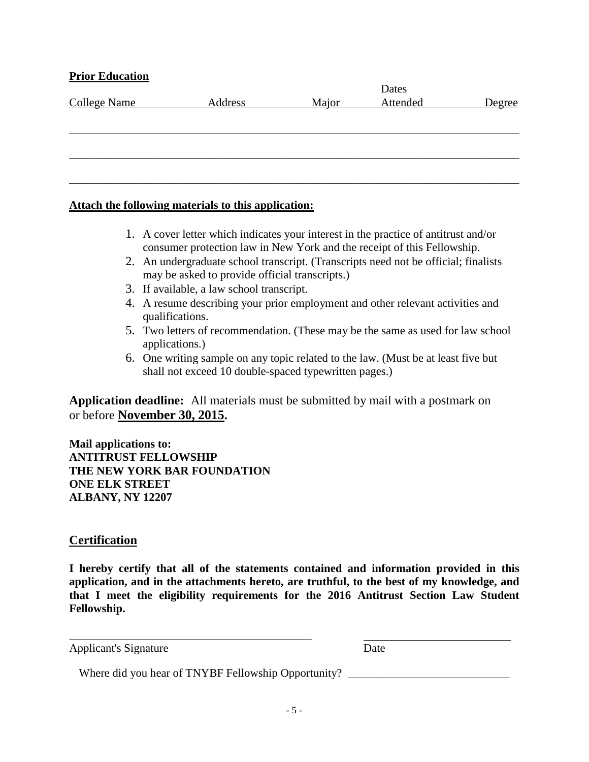#### **Prior Education**

| <b>College Name</b> | Address | Major | Attended | Degree |
|---------------------|---------|-------|----------|--------|
|                     |         |       |          |        |
|                     |         |       |          |        |
|                     |         |       |          |        |
|                     |         |       |          |        |
|                     |         |       |          |        |
|                     |         |       |          |        |

#### **Attach the following materials to this application:**

- 1. A cover letter which indicates your interest in the practice of antitrust and/or consumer protection law in New York and the receipt of this Fellowship.
- 2. An undergraduate school transcript. (Transcripts need not be official; finalists may be asked to provide official transcripts.)
- 3. If available, a law school transcript.
- 4. A resume describing your prior employment and other relevant activities and qualifications.
- 5. Two letters of recommendation. (These may be the same as used for law school applications.)
- 6. One writing sample on any topic related to the law. (Must be at least five but shall not exceed 10 double-spaced typewritten pages.)

**Application deadline:** All materials must be submitted by mail with a postmark on or before **November 30, 2015.**

**Mail applications to: ANTITRUST FELLOWSHIP THE NEW YORK BAR FOUNDATION ONE ELK STREET ALBANY, NY 12207**

#### **Certification**

**I hereby certify that all of the statements contained and information provided in this application, and in the attachments hereto, are truthful, to the best of my knowledge, and that I meet the eligibility requirements for the 2016 Antitrust Section Law Student Fellowship.**

| Applicant's Signature                               | Date |
|-----------------------------------------------------|------|
| Where did you hear of TNYBF Fellowship Opportunity? |      |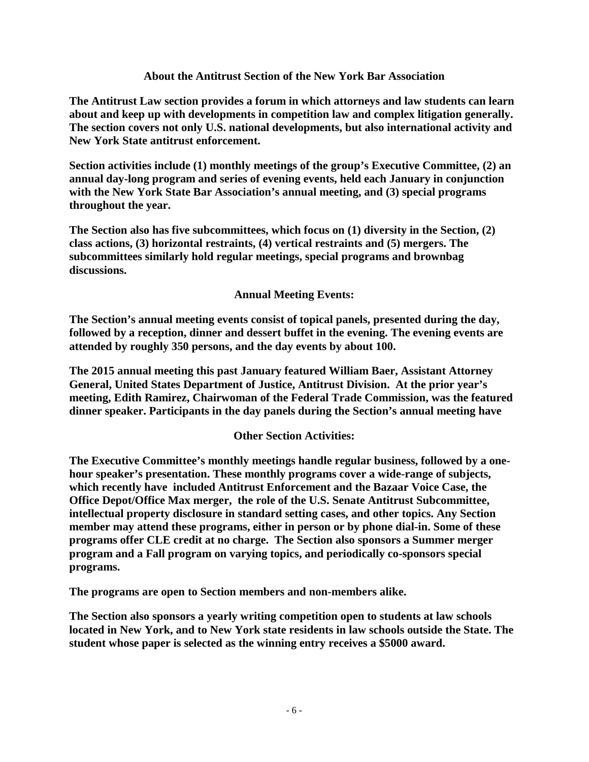#### **About the Antitrust Section of the New York Bar Association**

**The Antitrust Law section provides a forum in which attorneys and law students can learn about and keep up with developments in competition law and complex litigation generally. The section covers not only U.S. national developments, but also international activity and New York State antitrust enforcement.**

**Section activities include (1) monthly meetings of the group's Executive Committee, (2) an annual day-long program and series of evening events, held each January in conjunction with the New York State Bar Association's annual meeting, and (3) special programs throughout the year.**

**The Section also has five subcommittees, which focus on (1) diversity in the Section, (2) class actions, (3) horizontal restraints, (4) vertical restraints and (5) mergers. The subcommittees similarly hold regular meetings, special programs and brownbag discussions.**

#### **Annual Meeting Events:**

**The Section's annual meeting events consist of topical panels, presented during the day, followed by a reception, dinner and dessert buffet in the evening. The evening events are attended by roughly 350 persons, and the day events by about 100.**

**The 2015 annual meeting this past January featured William Baer, Assistant Attorney General, United States Department of Justice, Antitrust Division. At the prior year's meeting, Edith Ramirez, Chairwoman of the Federal Trade Commission, was the featured dinner speaker. Participants in the day panels during the Section's annual meeting have** 

#### **Other Section Activities:**

**The Executive Committee's monthly meetings handle regular business, followed by a onehour speaker's presentation. These monthly programs cover a wide-range of subjects, which recently have included Antitrust Enforcement and the Bazaar Voice Case, the Office Depot/Office Max merger, the role of the U.S. Senate Antitrust Subcommittee, intellectual property disclosure in standard setting cases, and other topics. Any Section member may attend these programs, either in person or by phone dial-in. Some of these programs offer CLE credit at no charge. The Section also sponsors a Summer merger program and a Fall program on varying topics, and periodically co-sponsors special programs.**

**The programs are open to Section members and non-members alike.**

**The Section also sponsors a yearly writing competition open to students at law schools located in New York, and to New York state residents in law schools outside the State. The student whose paper is selected as the winning entry receives a \$5000 award.**